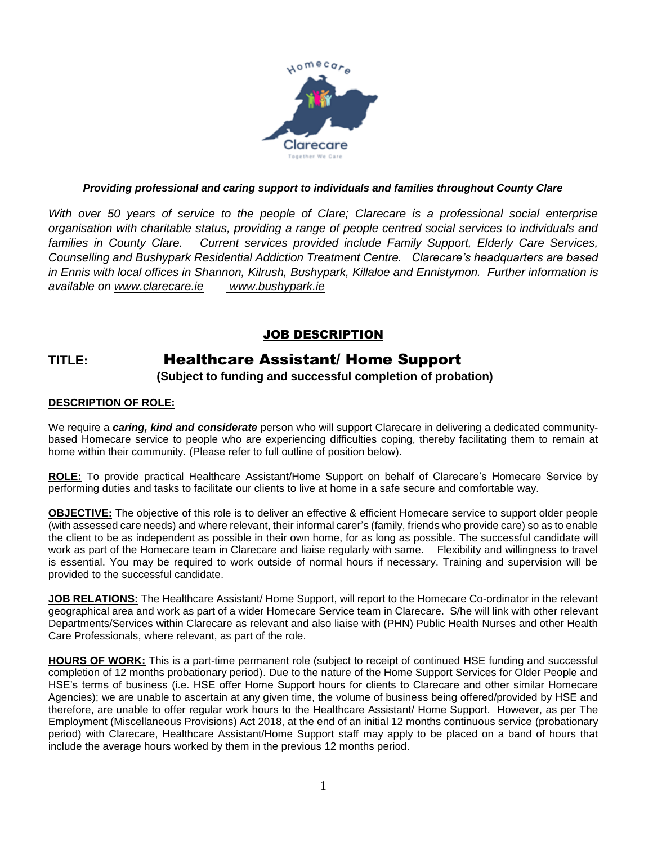

## *Providing professional and caring support to individuals and families throughout County Clare*

*With over 50 years of service to the people of Clare; Clarecare is a professional social enterprise organisation with charitable status, providing a range of people centred social services to individuals and families in County Clare. Current services provided include Family Support, Elderly Care Services, Counselling and Bushypark Residential Addiction Treatment Centre. Clarecare's headquarters are based in Ennis with local offices in Shannon, Kilrush, Bushypark, Killaloe and Ennistymon. Further information is available on [www.clarecare.ie](http://www.clarecare.ie/) [www.bushypark.ie](http://www.bushypark.ie/)*

## JOB DESCRIPTION

# **TITLE:** Healthcare Assistant/ Home Support

**(Subject to funding and successful completion of probation)**

#### **DESCRIPTION OF ROLE:**

We require a *caring, kind and considerate* person who will support Clarecare in delivering a dedicated communitybased Homecare service to people who are experiencing difficulties coping, thereby facilitating them to remain at home within their community. (Please refer to full outline of position below).

**ROLE:** To provide practical Healthcare Assistant/Home Support on behalf of Clarecare's Homecare Service by performing duties and tasks to facilitate our clients to live at home in a safe secure and comfortable way.

**OBJECTIVE:** The objective of this role is to deliver an effective & efficient Homecare service to support older people (with assessed care needs) and where relevant, their informal carer's (family, friends who provide care) so as to enable the client to be as independent as possible in their own home, for as long as possible. The successful candidate will work as part of the Homecare team in Clarecare and liaise regularly with same. Flexibility and willingness to travel is essential. You may be required to work outside of normal hours if necessary. Training and supervision will be provided to the successful candidate.

**JOB RELATIONS:** The Healthcare Assistant/ Home Support, will report to the Homecare Co-ordinator in the relevant geographical area and work as part of a wider Homecare Service team in Clarecare. S/he will link with other relevant Departments/Services within Clarecare as relevant and also liaise with (PHN) Public Health Nurses and other Health Care Professionals, where relevant, as part of the role.

**HOURS OF WORK:** This is a part-time permanent role (subject to receipt of continued HSE funding and successful completion of 12 months probationary period). Due to the nature of the Home Support Services for Older People and HSE's terms of business (i.e. HSE offer Home Support hours for clients to Clarecare and other similar Homecare Agencies); we are unable to ascertain at any given time, the volume of business being offered/provided by HSE and therefore, are unable to offer regular work hours to the Healthcare Assistant/ Home Support. However, as per The Employment (Miscellaneous Provisions) Act 2018, at the end of an initial 12 months continuous service (probationary period) with Clarecare, Healthcare Assistant/Home Support staff may apply to be placed on a band of hours that include the average hours worked by them in the previous 12 months period.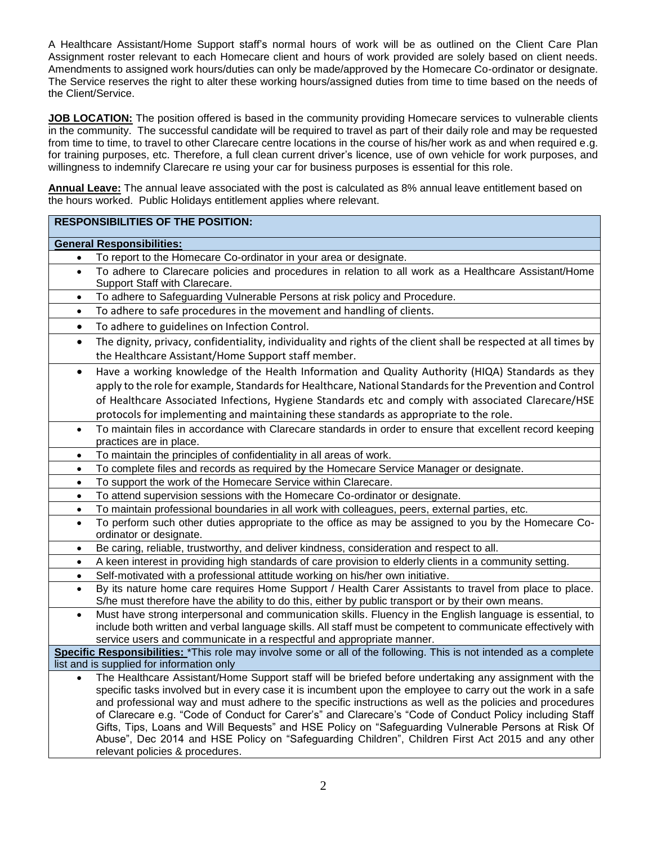A Healthcare Assistant/Home Support staff's normal hours of work will be as outlined on the Client Care Plan Assignment roster relevant to each Homecare client and hours of work provided are solely based on client needs. Amendments to assigned work hours/duties can only be made/approved by the Homecare Co-ordinator or designate. The Service reserves the right to alter these working hours/assigned duties from time to time based on the needs of the Client/Service.

**JOB LOCATION:** The position offered is based in the community providing Homecare services to vulnerable clients in the community. The successful candidate will be required to travel as part of their daily role and may be requested from time to time, to travel to other Clarecare centre locations in the course of his/her work as and when required e.g. for training purposes, etc. Therefore, a full clean current driver's licence, use of own vehicle for work purposes, and willingness to indemnify Clarecare re using your car for business purposes is essential for this role.

**Annual Leave:** The annual leave associated with the post is calculated as 8% annual leave entitlement based on the hours worked. Public Holidays entitlement applies where relevant.

## **RESPONSIBILITIES OF THE POSITION:**

#### **General Responsibilities:**

- To report to the Homecare Co-ordinator in your area or designate.
- To adhere to Clarecare policies and procedures in relation to all work as a Healthcare Assistant/Home Support Staff with Clarecare.
- To adhere to Safeguarding Vulnerable Persons at risk policy and Procedure.
- To adhere to safe procedures in the movement and handling of clients.
- To adhere to guidelines on Infection Control.
- The dignity, privacy, confidentiality, individuality and rights of the client shall be respected at all times by the Healthcare Assistant/Home Support staff member.
- Have a working knowledge of the Health Information and Quality Authority (HIQA) Standards as they apply to the role for example, Standards for Healthcare, National Standards for the Prevention and Control of Healthcare Associated Infections, Hygiene Standards etc and comply with associated Clarecare/HSE protocols for implementing and maintaining these standards as appropriate to the role.
- To maintain files in accordance with Clarecare standards in order to ensure that excellent record keeping practices are in place.
- To maintain the principles of confidentiality in all areas of work.
- To complete files and records as required by the Homecare Service Manager or designate.
- To support the work of the Homecare Service within Clarecare.
- To attend supervision sessions with the Homecare Co-ordinator or designate.
- To maintain professional boundaries in all work with colleagues, peers, external parties, etc.
- To perform such other duties appropriate to the office as may be assigned to you by the Homecare Coordinator or designate.
- Be caring, reliable, trustworthy, and deliver kindness, consideration and respect to all.
- A keen interest in providing high standards of care provision to elderly clients in a community setting.
- Self-motivated with a professional attitude working on his/her own initiative.
- By its nature home care requires Home Support / Health Carer Assistants to travel from place to place. S/he must therefore have the ability to do this, either by public transport or by their own means.
- Must have strong interpersonal and communication skills. Fluency in the English language is essential, to include both written and verbal language skills. All staff must be competent to communicate effectively with service users and communicate in a respectful and appropriate manner.

**Specific Responsibilities:** \*This role may involve some or all of the following. This is not intended as a complete list and is supplied for information only

• The Healthcare Assistant/Home Support staff will be briefed before undertaking any assignment with the specific tasks involved but in every case it is incumbent upon the employee to carry out the work in a safe and professional way and must adhere to the specific instructions as well as the policies and procedures of Clarecare e.g. "Code of Conduct for Carer's" and Clarecare's "Code of Conduct Policy including Staff Gifts, Tips, Loans and Will Bequests" and HSE Policy on "Safeguarding Vulnerable Persons at Risk Of Abuse", Dec 2014 and HSE Policy on "Safeguarding Children", Children First Act 2015 and any other relevant policies & procedures.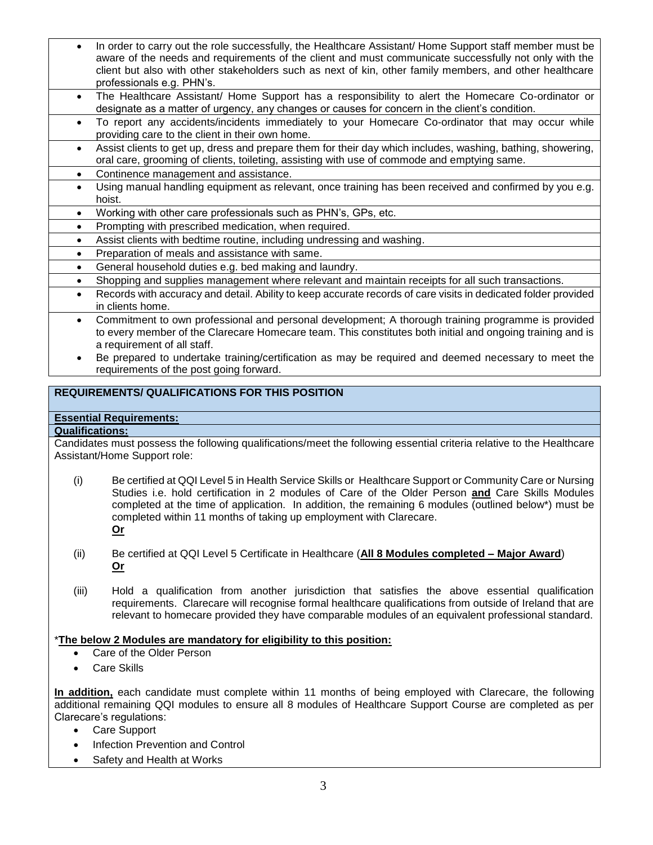- In order to carry out the role successfully, the Healthcare Assistant/ Home Support staff member must be aware of the needs and requirements of the client and must communicate successfully not only with the client but also with other stakeholders such as next of kin, other family members, and other healthcare professionals e.g. PHN's.
- The Healthcare Assistant/ Home Support has a responsibility to alert the Homecare Co-ordinator or designate as a matter of urgency, any changes or causes for concern in the client's condition.
- To report any accidents/incidents immediately to your Homecare Co-ordinator that may occur while providing care to the client in their own home.
- Assist clients to get up, dress and prepare them for their day which includes, washing, bathing, showering, oral care, grooming of clients, toileting, assisting with use of commode and emptying same.
- Continence management and assistance.
- Using manual handling equipment as relevant, once training has been received and confirmed by you e.g. hoist.
- Working with other care professionals such as PHN's, GPs, etc.
- Prompting with prescribed medication, when required.
- Assist clients with bedtime routine, including undressing and washing.
- Preparation of meals and assistance with same.
- General household duties e.g. bed making and laundry.
- Shopping and supplies management where relevant and maintain receipts for all such transactions.
- Records with accuracy and detail. Ability to keep accurate records of care visits in dedicated folder provided in clients home.
	- Commitment to own professional and personal development; A thorough training programme is provided to every member of the Clarecare Homecare team. This constitutes both initial and ongoing training and is a requirement of all staff.
- Be prepared to undertake training/certification as may be required and deemed necessary to meet the requirements of the post going forward.

## **REQUIREMENTS/ QUALIFICATIONS FOR THIS POSITION**

## **Essential Requirements:**

## **Qualifications:**

Candidates must possess the following qualifications/meet the following essential criteria relative to the Healthcare Assistant/Home Support role:

- (i) Be certified at QQI Level 5 in Health Service Skills or Healthcare Support or Community Care or Nursing Studies i.e. hold certification in 2 modules of Care of the Older Person **and** Care Skills Modules completed at the time of application. In addition, the remaining 6 modules (outlined below\*) must be completed within 11 months of taking up employment with Clarecare. **Or**
- (ii) Be certified at QQI Level 5 Certificate in Healthcare (**All 8 Modules completed – Major Award**) **Or**
- (iii) Hold a qualification from another jurisdiction that satisfies the above essential qualification requirements. Clarecare will recognise formal healthcare qualifications from outside of Ireland that are relevant to homecare provided they have comparable modules of an equivalent professional standard.

#### \***The below 2 Modules are mandatory for eligibility to this position:**

- Care of the Older Person
- Care Skills

**In addition,** each candidate must complete within 11 months of being employed with Clarecare, the following additional remaining QQI modules to ensure all 8 modules of Healthcare Support Course are completed as per Clarecare's regulations:

- Care Support
- Infection Prevention and Control
- Safety and Health at Works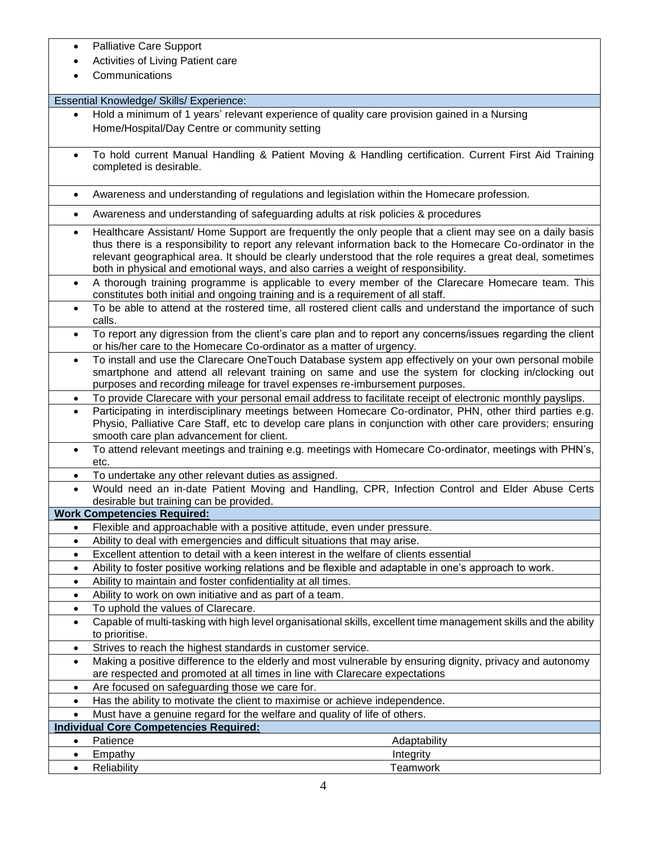- Palliative Care Support
- Activities of Living Patient care
- **Communications**

Essential Knowledge/ Skills/ Experience:

- Hold a minimum of 1 years' relevant experience of quality care provision gained in a Nursing Home/Hospital/Day Centre or community setting
- To hold current Manual Handling & Patient Moving & Handling certification. Current First Aid Training completed is desirable.
- Awareness and understanding of regulations and legislation within the Homecare profession.
- Awareness and understanding of safeguarding adults at risk policies & procedures
- Healthcare Assistant/ Home Support are frequently the only people that a client may see on a daily basis thus there is a responsibility to report any relevant information back to the Homecare Co-ordinator in the relevant geographical area. It should be clearly understood that the role requires a great deal, sometimes both in physical and emotional ways, and also carries a weight of responsibility.
- A thorough training programme is applicable to every member of the Clarecare Homecare team. This constitutes both initial and ongoing training and is a requirement of all staff.
- To be able to attend at the rostered time, all rostered client calls and understand the importance of such calls.
- To report any digression from the client's care plan and to report any concerns/issues regarding the client or his/her care to the Homecare Co-ordinator as a matter of urgency.
- To install and use the Clarecare OneTouch Database system app effectively on your own personal mobile smartphone and attend all relevant training on same and use the system for clocking in/clocking out purposes and recording mileage for travel expenses re-imbursement purposes.
- To provide Clarecare with your personal email address to facilitate receipt of electronic monthly payslips.
- Participating in interdisciplinary meetings between Homecare Co-ordinator, PHN, other third parties e.g. Physio, Palliative Care Staff, etc to develop care plans in conjunction with other care providers; ensuring smooth care plan advancement for client.
- To attend relevant meetings and training e.g. meetings with Homecare Co-ordinator, meetings with PHN's, etc.
- To undertake any other relevant duties as assigned.
- Would need an in-date Patient Moving and Handling, CPR, Infection Control and Elder Abuse Certs desirable but training can be provided.

**Work Competencies Required:**

- Flexible and approachable with a positive attitude, even under pressure. • Ability to deal with emergencies and difficult situations that may arise.
- 
- Excellent attention to detail with a keen interest in the welfare of clients essential
- Ability to foster positive working relations and be flexible and adaptable in one's approach to work.
- Ability to maintain and foster confidentiality at all times.
- Ability to work on own initiative and as part of a team.
- To uphold the values of Clarecare.
- Capable of multi-tasking with high level organisational skills, excellent time management skills and the ability to prioritise.
- Strives to reach the highest standards in customer service.
- Making a positive difference to the elderly and most vulnerable by ensuring dignity, privacy and autonomy are respected and promoted at all times in line with Clarecare expectations
- Are focused on safeguarding those we care for.
- Has the ability to motivate the client to maximise or achieve independence.
- Must have a genuine regard for the welfare and quality of life of others.

|  | Individual Core Competencies Required: |  |
|--|----------------------------------------|--|
|  |                                        |  |

• Patience **Adaptability • Patience** Adaptability **• Patience** Adaptability **Adaptability • Adaptability • Adaptability • Adaptability • Adaptability • Adaptability • Adaptability • Adaptability • Adaptab** • Empathy **Integrity** • Reliability **Teamwork**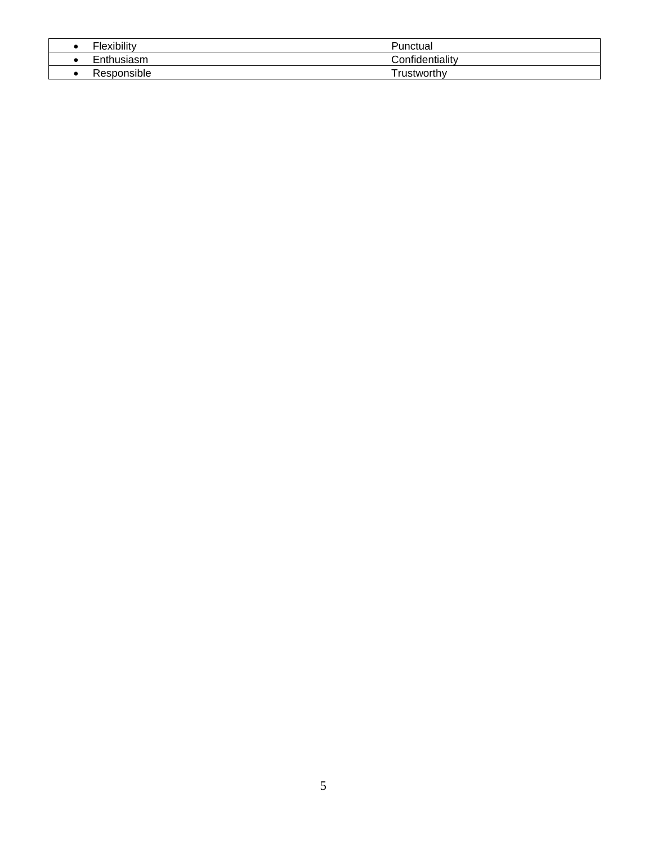| Flexibility | Punctual           |
|-------------|--------------------|
| Enthusiasm  | Confidentiality    |
| Responsible | <b>frustworthy</b> |